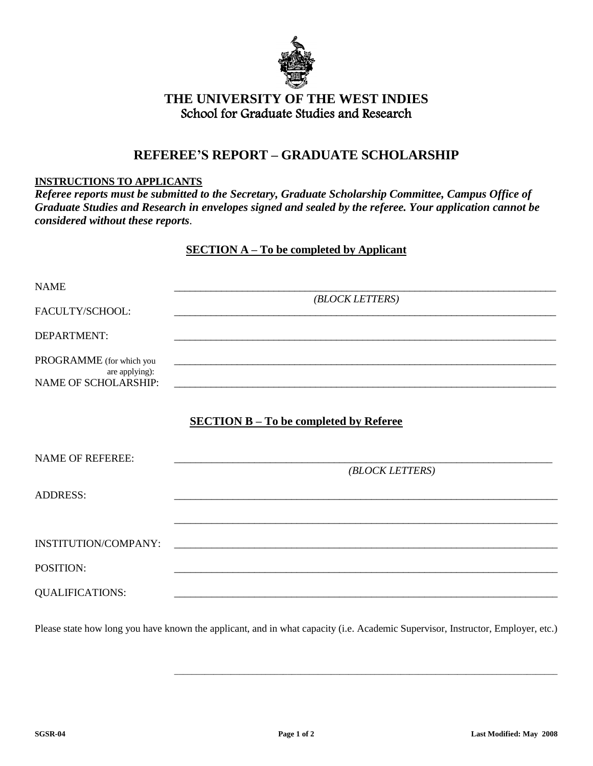

## **THE UNIVERSITY OF THE WEST INDIES** School for Graduate Studies and Research

## **REFEREE'S REPORT – GRADUATE SCHOLARSHIP**

## **INSTRUCTIONS TO APPLICANTS**

*Referee reports must be submitted to the Secretary, Graduate Scholarship Committee, Campus Office of Graduate Studies and Research in envelopes signed and sealed by the referee. Your application cannot be considered without these reports.*

## **SECTION A – To be completed by Applicant**

| <b>NAME</b>                                                               |                                                                                                                                                                                 |  |  |  |  |
|---------------------------------------------------------------------------|---------------------------------------------------------------------------------------------------------------------------------------------------------------------------------|--|--|--|--|
| FACULTY/SCHOOL:                                                           | (BLOCK LETTERS)                                                                                                                                                                 |  |  |  |  |
| DEPARTMENT:                                                               |                                                                                                                                                                                 |  |  |  |  |
| PROGRAMME (for which you<br>are applying):<br><b>NAME OF SCHOLARSHIP:</b> | <u> 1989 - Johann Stoff, amerikansk politiker (d. 1989)</u><br>and the control of the control of the control of the control of the control of the control of the control of the |  |  |  |  |
|                                                                           | <b>SECTION B - To be completed by Referee</b>                                                                                                                                   |  |  |  |  |
| <b>NAME OF REFEREE:</b>                                                   | (BLOCK LETTERS)                                                                                                                                                                 |  |  |  |  |
| <b>ADDRESS:</b>                                                           |                                                                                                                                                                                 |  |  |  |  |
|                                                                           |                                                                                                                                                                                 |  |  |  |  |
| INSTITUTION/COMPANY:                                                      |                                                                                                                                                                                 |  |  |  |  |
| POSITION:                                                                 |                                                                                                                                                                                 |  |  |  |  |
| <b>QUALIFICATIONS:</b>                                                    |                                                                                                                                                                                 |  |  |  |  |

Please state how long you have known the applicant, and in what capacity (i.e. Academic Supervisor, Instructor, Employer, etc.)

\_\_\_\_\_\_\_\_\_\_\_\_\_\_\_\_\_\_\_\_\_\_\_\_\_\_\_\_\_\_\_\_\_\_\_\_\_\_\_\_\_\_\_\_\_\_\_\_\_\_\_\_\_\_\_\_\_\_\_\_\_\_\_\_\_\_\_\_\_\_\_\_\_\_\_\_\_\_\_\_\_\_\_\_\_\_\_\_